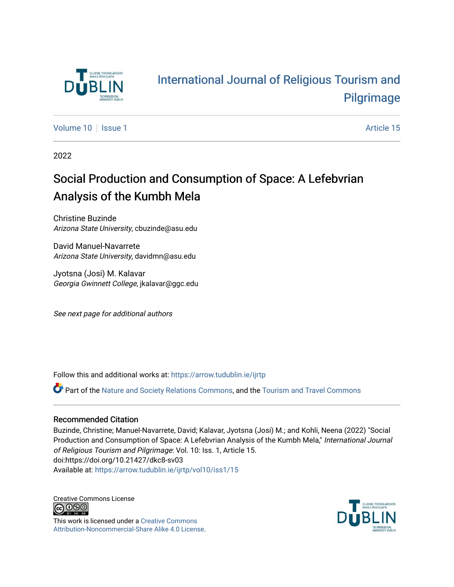

# [International Journal of Religious Tourism and](https://arrow.tudublin.ie/ijrtp)  [Pilgrimage](https://arrow.tudublin.ie/ijrtp)

[Volume 10](https://arrow.tudublin.ie/ijrtp/vol10) | [Issue 1](https://arrow.tudublin.ie/ijrtp/vol10/iss1) Article 15

2022

# Social Production and Consumption of Space: A Lefebvrian Analysis of the Kumbh Mela

Christine Buzinde Arizona State University, cbuzinde@asu.edu

David Manuel-Navarrete Arizona State University, davidmn@asu.edu

Jyotsna (Josi) M. Kalavar Georgia Gwinnett College, jkalavar@ggc.edu

See next page for additional authors

Follow this and additional works at: [https://arrow.tudublin.ie/ijrtp](https://arrow.tudublin.ie/ijrtp?utm_source=arrow.tudublin.ie%2Fijrtp%2Fvol10%2Fiss1%2F15&utm_medium=PDF&utm_campaign=PDFCoverPages)

Part of the [Nature and Society Relations Commons,](https://network.bepress.com/hgg/discipline/357?utm_source=arrow.tudublin.ie%2Fijrtp%2Fvol10%2Fiss1%2F15&utm_medium=PDF&utm_campaign=PDFCoverPages) and the [Tourism and Travel Commons](https://network.bepress.com/hgg/discipline/1082?utm_source=arrow.tudublin.ie%2Fijrtp%2Fvol10%2Fiss1%2F15&utm_medium=PDF&utm_campaign=PDFCoverPages)

#### Recommended Citation

Buzinde, Christine; Manuel-Navarrete, David; Kalavar, Jyotsna (Josi) M.; and Kohli, Neena (2022) "Social Production and Consumption of Space: A Lefebvrian Analysis of the Kumbh Mela," International Journal of Religious Tourism and Pilgrimage: Vol. 10: Iss. 1, Article 15. doi:https://doi.org/10.21427/dkc8-sv03 Available at: [https://arrow.tudublin.ie/ijrtp/vol10/iss1/15](https://arrow.tudublin.ie/ijrtp/vol10/iss1/15?utm_source=arrow.tudublin.ie%2Fijrtp%2Fvol10%2Fiss1%2F15&utm_medium=PDF&utm_campaign=PDFCoverPages) 

Creative Commons License<br>  $\overline{G}$  000

This work is licensed under a [Creative Commons](https://creativecommons.org/licenses/by-nc-sa/4.0/) [Attribution-Noncommercial-Share Alike 4.0 License](https://creativecommons.org/licenses/by-nc-sa/4.0/).

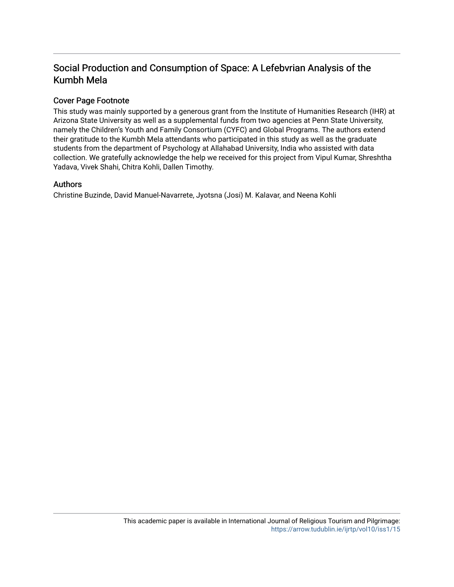## Social Production and Consumption of Space: A Lefebvrian Analysis of the Kumbh Mela

#### Cover Page Footnote

This study was mainly supported by a generous grant from the Institute of Humanities Research (IHR) at Arizona State University as well as a supplemental funds from two agencies at Penn State University, namely the Children's Youth and Family Consortium (CYFC) and Global Programs. The authors extend their gratitude to the Kumbh Mela attendants who participated in this study as well as the graduate students from the department of Psychology at Allahabad University, India who assisted with data collection. We gratefully acknowledge the help we received for this project from Vipul Kumar, Shreshtha Yadava, Vivek Shahi, Chitra Kohli, Dallen Timothy.

#### Authors

Christine Buzinde, David Manuel-Navarrete, Jyotsna (Josi) M. Kalavar, and Neena Kohli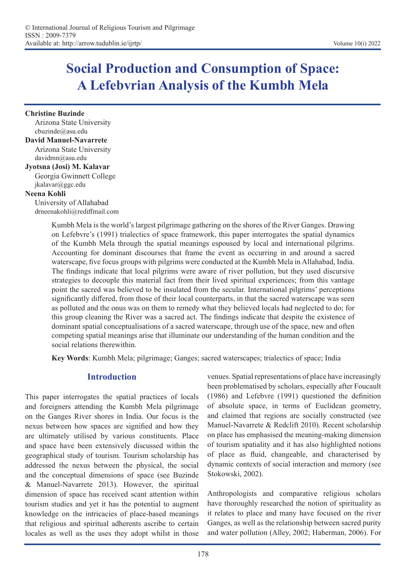# **Social Production and Consumption of Space: A Lefebvrian Analysis of the Kumbh Mela**

**Christine Buzinde**  Arizona State University cbuzinde@asu.edu

#### **David Manuel-Navarrete**

Arizona State University davidmn@asu.edu

### **Jyotsna (Josi) M. Kalavar**

Georgia Gwinnett College jkalavar@ggc.edu **Neena Kohli** 

#### University of Allahabad drneenakohli@rediffmail.com

Kumbh Mela is the world's largest pilgrimage gathering on the shores of the River Ganges. Drawing on Lefebvre's (1991) trialectics of space framework, this paper interrogates the spatial dynamics of the Kumbh Mela through the spatial meanings espoused by local and international pilgrims. Accounting for dominant discourses that frame the event as occurring in and around a sacred waterscape, five focus groups with pilgrims were conducted at the Kumbh Mela in Allahabad, India. The findings indicate that local pilgrims were aware of river pollution, but they used discursive strategies to decouple this material fact from their lived spiritual experiences; from this vantage point the sacred was believed to be insulated from the secular. International pilgrims' perceptions significantly differed, from those of their local counterparts, in that the sacred waterscape was seen as polluted and the onus was on them to remedy what they believed locals had neglected to do; for this group cleaning the River was a sacred act. The findings indicate that despite the existence of dominant spatial conceptualisations of a sacred waterscape, through use of the space, new and often competing spatial meanings arise that illuminate our understanding of the human condition and the social relations therewithin.

**Key Words**: Kumbh Mela; pilgrimage; Ganges; sacred waterscapes; trialectics of space; India

### **Introduction**

This paper interrogates the spatial practices of locals and foreigners attending the Kumbh Mela pilgrimage on the Ganges River shores in India. Our focus is the nexus between how spaces are signified and how they are ultimately utilised by various constituents. Place and space have been extensively discussed within the geographical study of tourism. Tourism scholarship has addressed the nexus between the physical, the social and the conceptual dimensions of space (see Buzinde & Manuel-Navarrete 2013). However, the spiritual dimension of space has received scant attention within tourism studies and yet it has the potential to augment knowledge on the intricacies of place-based meanings that religious and spiritual adherents ascribe to certain locales as well as the uses they adopt whilst in those venues. Spatial representations of place have increasingly been problematised by scholars, especially after Foucault (1986) and Lefebvre (1991) questioned the definition of absolute space, in terms of Euclidean geometry, and claimed that regions are socially constructed (see Manuel-Navarrete & Redclift 2010). Recent scholarship on place has emphasised the meaning-making dimension of tourism spatiality and it has also highlighted notions of place as fluid, changeable, and characterised by dynamic contexts of social interaction and memory (see Stokowski, 2002).

Anthropologists and comparative religious scholars have thoroughly researched the notion of spirituality as it relates to place and many have focused on the river Ganges, as well as the relationship between sacred purity and water pollution (Alley, 2002; Haberman, 2006). For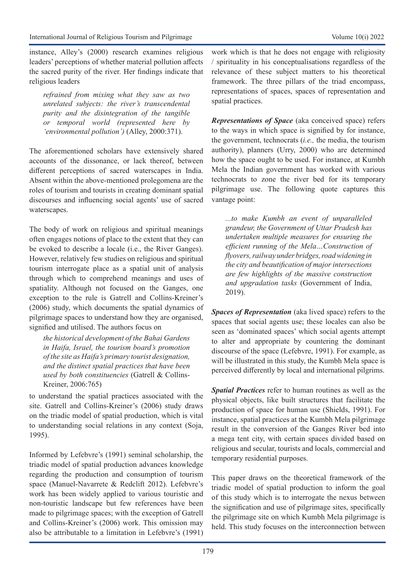instance, Alley's (2000) research examines religious leaders' perceptions of whether material pollution affects the sacred purity of the river. Her findings indicate that religious leaders

*refrained from mixing what they saw as two unrelated subjects: the river's transcendental purity and the disintegration of the tangible or temporal world (represented here by 'environmental pollution')* (Alley, 2000:371).

The aforementioned scholars have extensively shared accounts of the dissonance, or lack thereof, between different perceptions of sacred waterscapes in India. Absent within the above-mentioned prolegomena are the roles of tourism and tourists in creating dominant spatial discourses and influencing social agents' use of sacred waterscapes.

The body of work on religious and spiritual meanings often engages notions of place to the extent that they can be evoked to describe a locale (i.e., the River Ganges). However, relatively few studies on religious and spiritual tourism interrogate place as a spatial unit of analysis through which to comprehend meanings and uses of spatiality. Although not focused on the Ganges, one exception to the rule is Gatrell and Collins-Kreiner's (2006) study, which documents the spatial dynamics of pilgrimage spaces to understand how they are organised, signified and utilised. The authors focus on

*the historical development of the Bahai Gardens in Haifa, Israel, the tourism board's promotion of the site as Haifa's primary tourist designation, and the distinct spatial practices that have been used by both constituencies* (Gatrell & Collins-Kreiner, 2006:765)

to understand the spatial practices associated with the site. Gatrell and Collins-Kreiner's (2006) study draws on the triadic model of spatial production, which is vital to understanding social relations in any context (Soja, 1995).

Informed by Lefebvre's (1991) seminal scholarship, the triadic model of spatial production advances knowledge regarding the production and consumption of tourism space (Manuel-Navarrete & Redclift 2012). Lefebvre's work has been widely applied to various touristic and non-touristic landscape but few references have been made to pilgrimage spaces; with the exception of Gatrell and Collins-Kreiner's (2006) work. This omission may also be attributable to a limitation in Lefebvre's (1991) work which is that he does not engage with religiosity / spirituality in his conceptualisations regardless of the relevance of these subject matters to his theoretical framework. The three pillars of the triad encompass, representations of spaces, spaces of representation and spatial practices.

*Representations of Space* (aka conceived space) refers to the ways in which space is signified by for instance, the government, technocrats (*i.e.,* the media, the tourism authority), planners (Urry, 2000) who are determined how the space ought to be used. For instance, at Kumbh Mela the Indian government has worked with various technocrats to zone the river bed for its temporary pilgrimage use. The following quote captures this vantage point:

*...to make Kumbh an event of unparalleled grandeur, the Government of Uttar Pradesh has undertaken multiple measures for ensuring the efficient running of the Mela…Construction of flyovers, railway under bridges, road widening in the city and beautification of major intersections are few highlights of the massive construction and upgradation tasks* (Government of India, 2019).

*Spaces of Representation* (aka lived space) refers to the spaces that social agents use; these locales can also be seen as 'dominated spaces' which social agents attempt to alter and appropriate by countering the dominant discourse of the space (Lefebvre, 1991). For example, as will be illustrated in this study, the Kumbh Mela space is perceived differently by local and international pilgrims.

*Spatial Practices* refer to human routines as well as the physical objects, like built structures that facilitate the production of space for human use (Shields, 1991). For instance, spatial practices at the Kumbh Mela pilgrimage result in the conversion of the Ganges River bed into a mega tent city, with certain spaces divided based on religious and secular, tourists and locals, commercial and temporary residential purposes.

This paper draws on the theoretical framework of the triadic model of spatial production to inform the goal of this study which is to interrogate the nexus between the signification and use of pilgrimage sites, specifically the pilgrimage site on which Kumbh Mela pilgrimage is held. This study focuses on the interconnection between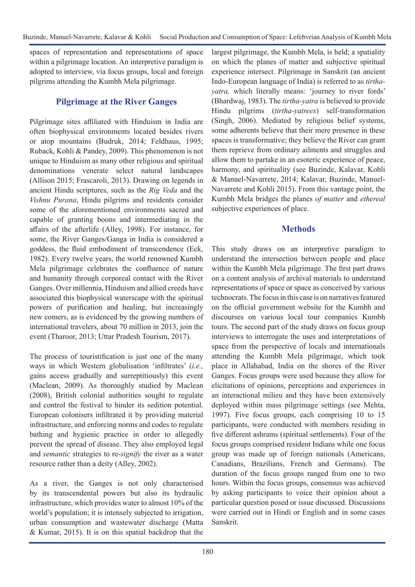spaces of representation and representations of space within a pilgrimage location. An interpretive paradigm is adopted to interview, via focus groups, local and foreign pilgrims attending the Kumbh Mela pilgrimage.

### **Pilgrimage at the River Ganges**

Pilgrimage sites affiliated with Hinduism in India are often biophysical environments located besides rivers or atop mountains (Budruk, 2014; Feldhaus, 1995; Ruback, Kohli & Pandey, 2009). This phenomenon is not unique to Hinduism as many other religious and spiritual denominations venerate select natural landscapes (Allison 2015; Frascaroli, 2013). Drawing on legends in ancient Hindu scriptures, such as the *Rig Veda* and the *Vishnu Purana*, Hindu pilgrims and residents consider some of the aforementioned environments sacred and capable of granting boons and intermediating in the affairs of the afterlife (Alley, 1998). For instance, for some, the River Ganges/Ganga in India is considered a goddess, the fluid embodiment of transcendence (Eck, 1982). Every twelve years, the world renowned Kumbh Mela pilgrimage celebrates the confluence of nature and humanity through corporeal contact with the River Ganges. Over millennia, Hinduism and allied creeds have associated this biophysical waterscape with the spiritual powers of purification and healing, but increasingly new comers, as is evidenced by the growing numbers of international travelers, about 70 million in 2013, join the event (Tharoor, 2013; Uttar Pradesh Tourism, 2017).

The process of touristification is just one of the many ways in which Western globalisation 'infiltrates' (*i.e.,* gains access gradually and surreptitiously) this event (Maclean, 2009). As thoroughly studied by Maclean (2008), British colonial authorities sought to regulate and control the festival to hinder its sedition potential. European colonisers infiltrated it by providing material infrastructure, and enforcing norms and codes to regulate bathing and hygienic practice in order to allegedly prevent the spread of disease. They also employed legal and *semantic* strategies to re-*signify* the river as a water resource rather than a deity (Alley, 2002).

As a river, the Ganges is not only characterised by its transcendental powers but also its hydraulic infrastructure, which provides water to almost 10% of the world's population; it is intensely subjected to irrigation, urban consumption and wastewater discharge (Matta & Kumar, 2015). It is on this spatial backdrop that the

largest pilgrimage, the Kumbh Mela, is held; a spatiality on which the planes of matter and subjective spiritual experience intersect. Pilgrimage in Sanskrit (an ancient Indo-European language of India) is referred to as *tirthayatra,* which literally means: 'journey to river fords' (Bhardwaj, 1983). The *tirtha-yatra* is believed to provide Hindu pilgrims (*tirtha-yatrees*) self-transformation (Singh, 2006). Mediated by religious belief systems, some adherents believe that their mere presence in these spaces is transformative; they believe the River can grant them reprieve from ordinary ailments and struggles and allow them to partake in an esoteric experience of peace, harmony, and spirituality (see Buzinde, Kalavar, Kohli & Manuel-Navarrete, 2014; Kalavar, Buzinde, Manuel-Navarrete and Kohli 2015). From this vantage point, the Kumbh Mela bridges the planes *of matter* and *ethereal* subjective experiences of place.

## **Methods**

This study draws on an interpretive paradigm to understand the intersection between people and place within the Kumbh Mela pilgrimage. The first part draws on a content analysis of archival materials to understand representations of space or space as conceived by various technocrats. The focus in this case is on narratives featured on the official government website for the Kumbh and discourses on various local tour companies Kumbh tours. The second part of the study draws on focus group interviews to interrogate the uses and interpretations of space from the perspective of locals and internationals attending the Kumbh Mela pilgrimage, which took place in Allahabad, India on the shores of the River Ganges. Focus groups were used because they allow for elicitations of opinions, perceptions and experiences in an interactional milieu and they have been extensively deployed within mass pilgrimage settings (see Mehta, 1997). Five focus groups, each comprising 10 to 15 participants, were conducted with members residing in five different ashrams (spiritual settlements). Four of the focus groups comprised resident Indians while one focus group was made up of foreign nationals (Americans, Canadians, Brazilians, French and Germans). The duration of the focus groups ranged from one to two hours. Within the focus groups, consensus was achieved by asking participants to voice their opinion about a particular question posed or issue discussed. Discussions were carried out in Hindi or English and in some cases Sanskrit.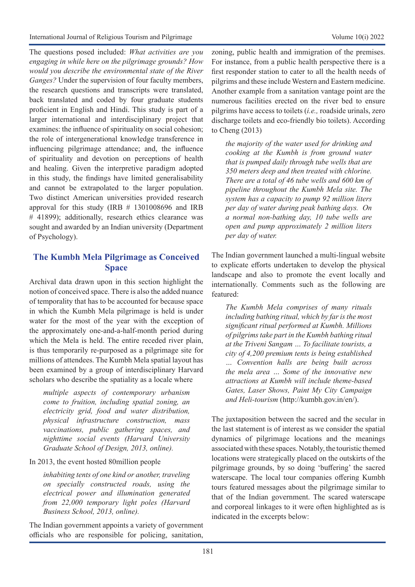The questions posed included: *What activities are you engaging in while here on the pilgrimage grounds? How would you describe the environmental state of the River Ganges?* Under the supervision of four faculty members, the research questions and transcripts were translated, back translated and coded by four graduate students proficient in English and Hindi. This study is part of a larger international and interdisciplinary project that examines: the influence of spirituality on social cohesion; the role of intergenerational knowledge transference in influencing pilgrimage attendance; and, the influence of spirituality and devotion on perceptions of health and healing. Given the interpretive paradigm adopted in this study, the findings have limited generalisability and cannot be extrapolated to the larger population. Two distinct American universities provided research approval for this study (IRB # 1301008696 and IRB # 41899); additionally, research ethics clearance was sought and awarded by an Indian university (Department of Psychology).

## **The Kumbh Mela Pilgrimage as Conceived Space**

Archival data drawn upon in this section highlight the notion of conceived space. There is also the added nuance of temporality that has to be accounted for because space in which the Kumbh Mela pilgrimage is held is under water for the most of the year with the exception of the approximately one-and-a-half-month period during which the Mela is held. The entire receded river plain, is thus temporarily re-purposed as a pilgrimage site for millions of attendees. The Kumbh Mela spatial layout has been examined by a group of interdisciplinary Harvard scholars who describe the spatiality as a locale where

*multiple aspects of contemporary urbanism come to fruition, including spatial zoning, an electricity grid, food and water distribution, physical infrastructure construction, mass vaccinations, public gathering spaces, and nighttime social events (Harvard University Graduate School of Design, 2013, online).* 

In 2013, the event hosted 80million people

*inhabiting tents of one kind or another, traveling on specially constructed roads, using the electrical power and illumination generated from 22,000 temporary light poles (Harvard Business School, 2013, online).* 

The Indian government appoints a variety of government officials who are responsible for policing, sanitation,

zoning, public health and immigration of the premises. For instance, from a public health perspective there is a first responder station to cater to all the health needs of pilgrims and these include Western and Eastern medicine. Another example from a sanitation vantage point are the numerous facilities erected on the river bed to ensure pilgrims have access to toilets (*i.e.,* roadside urinals, zero discharge toilets and eco-friendly bio toilets). According to Cheng (2013)

*the majority of the water used for drinking and cooking at the Kumbh is from ground water that is pumped daily through tube wells that are 350 meters deep and then treated with chlorine. There are a total of 46 tube wells and 600 km of pipeline throughout the Kumbh Mela site. The system has a capacity to pump 92 million liters per day of water during peak bathing days. On a normal non-bathing day, 10 tube wells are open and pump approximately 2 million liters per day of water.*

The Indian government launched a multi-lingual website to explicate efforts undertaken to develop the physical landscape and also to promote the event locally and internationally. Comments such as the following are featured:

*The Kumbh Mela comprises of many rituals including bathing ritual, which by far is the most significant ritual performed at Kumbh. Millions of pilgrims take part in the Kumbh bathing ritual at the Triveni Sangam … To facilitate tourists, a city of 4,200 premium tents is being established … Convention halls are being built across the mela area … Some of the innovative new attractions at Kumbh will include theme-based Gates, Laser Shows, Paint My City Campaign and Heli-tourism* ([http://kumbh.gov.in/en/\)](http://kumbh.gov.in/en/).

The juxtaposition between the sacred and the secular in the last statement is of interest as we consider the spatial dynamics of pilgrimage locations and the meanings associated with these spaces. Notably, the touristic themed locations were strategically placed on the outskirts of the pilgrimage grounds, by so doing 'buffering' the sacred waterscape. The local tour companies offering Kumbh tours featured messages about the pilgrimage similar to that of the Indian government. The scared waterscape and corporeal linkages to it were often highlighted as is indicated in the excerpts below: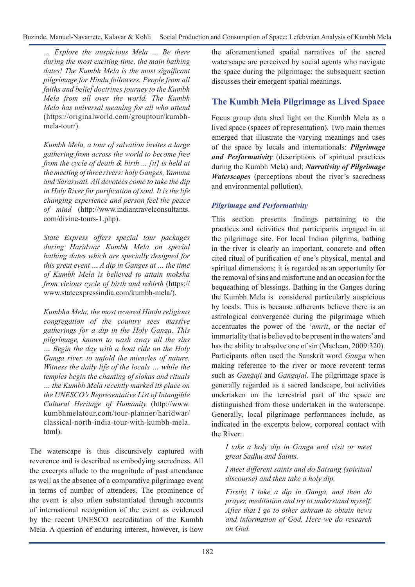*… Explore the auspicious Mela … Be there during the most exciting time, the main bathing dates! The Kumbh Mela is the most significant pilgrimage for Hindu followers. People from all faiths and belief doctrines journey to the Kumbh Mela from all over the world. The Kumbh Mela has universal meaning for all who attend*  [\(https://originalworld.com/grouptour/kumbh](https://originalworld.com/grouptour/kumbh-mela-tour/)[mela-tour/](https://originalworld.com/grouptour/kumbh-mela-tour/)).

*Kumbh Mela, a tour of salvation invites a large gathering from across the world to become free from the cycle of death & birth ... [it] is held at the meeting of three rivers: holy Ganges, Yamuna and Saraswati. All devotees come to take the dip in Holy River for purification of soul. It is the life changing experience and person feel the peace of mind* ([http://www.indiantravelconsultants.](http://www.indiantravelconsultants.com/divine-tours-1.php) [com/divine-tours-1.php](http://www.indiantravelconsultants.com/divine-tours-1.php)).

*State Express offers special tour packages during Haridwar Kumbh Mela on special bathing dates which are specially designed for this great event … A dip in Ganges at … the time of Kumbh Mela is believed to attain moksha from vicious cycle of birth and rebirth* ([https://](https://www.stateexpressindia.com/kumbh-mela/) [www.stateexpressindia.com/kumbh-mela/\)](https://www.stateexpressindia.com/kumbh-mela/).

*Kumbha Mela, the most revered Hindu religious congregation of the country sees massive gatherings for a dip in the Holy Ganga. This pilgrimage, known to wash away all the sins … Begin the day with a boat ride on the Holy Ganga river, to unfold the miracles of nature. Witness the daily life of the locals … while the temples begin the chanting of slokas and rituals … the Kumbh Mela recently marked its place on the UNESCO's Representative List of Intangible Cultural Heritage of Humanity* [\(http://www.](http://www.kumbhmelatour.com/tour-planner/haridwar/classical-north-india-tour-with-kumbh-mela.html) [kumbhmelatour.com/tour-planner/haridwar/](http://www.kumbhmelatour.com/tour-planner/haridwar/classical-north-india-tour-with-kumbh-mela.html) [classical-north-india-tour-with-kumbh-mela.](http://www.kumbhmelatour.com/tour-planner/haridwar/classical-north-india-tour-with-kumbh-mela.html) [html\)](http://www.kumbhmelatour.com/tour-planner/haridwar/classical-north-india-tour-with-kumbh-mela.html).

The waterscape is thus discursively captured with reverence and is described as embodying sacredness. All the excerpts allude to the magnitude of past attendance as well as the absence of a comparative pilgrimage event in terms of number of attendees. The prominence of the event is also often substantiated through accounts of international recognition of the event as evidenced by the recent UNESCO accreditation of the Kumbh Mela. A question of enduring interest, however, is how

the aforementioned spatial narratives of the sacred waterscape are perceived by social agents who navigate the space during the pilgrimage; the subsequent section discusses their emergent spatial meanings.

## **The Kumbh Mela Pilgrimage as Lived Space**

Focus group data shed light on the Kumbh Mela as a lived space (spaces of representation). Two main themes emerged that illustrate the varying meanings and uses of the space by locals and internationals: *Pilgrimage and Performativity* (descriptions of spiritual practices during the Kumbh Mela) and; *Narrativity of Pilgrimage Waterscapes* (perceptions about the river's sacredness and environmental pollution).

### *Pilgrimage and Performativity*

This section presents findings pertaining to the practices and activities that participants engaged in at the pilgrimage site. For local Indian pilgrims, bathing in the river is clearly an important, concrete and often cited ritual of purification of one's physical, mental and spiritual dimensions; it is regarded as an opportunity for the removal of sins and misfortune and an occasion for the bequeathing of blessings. Bathing in the Ganges during the Kumbh Mela is considered particularly auspicious by locals. This is because adherents believe there is an astrological convergence during the pilgrimage which accentuates the power of the '*amrit*, or the nectar of immortality that is believed to be present in the waters' and has the ability to absolve one of sin (Maclean, 2009:320). Participants often used the Sanskrit word *Ganga* when making reference to the river or more reverent terms such as *Gangaji* and *Gangajal*. The pilgrimage space is generally regarded as a sacred landscape, but activities undertaken on the terrestrial part of the space are distinguished from those undertaken in the waterscape. Generally, local pilgrimage performances include, as indicated in the excerpts below, corporeal contact with the River:

*I take a holy dip in Ganga and visit or meet great Sadhu and Saints.*

*I meet different saints and do Satsang (spiritual discourse) and then take a holy dip.*

*Firstly, I take a dip in Ganga, and then do prayer, meditation and try to understand myself. After that I go to other ashram to obtain news and information of God. Here we do research on God.*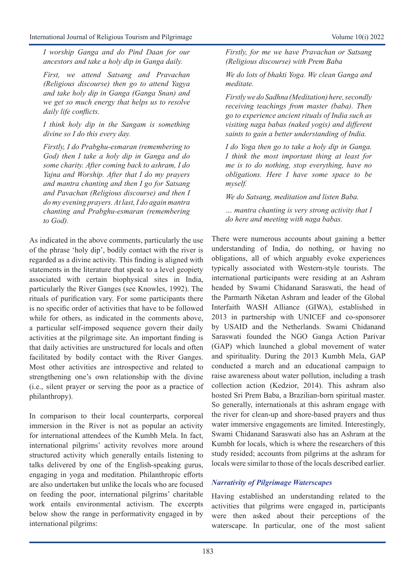*I worship Ganga and do Pind Daan for our ancestors and take a holy dip in Ganga daily.*

*First, we attend Satsang and Pravachan (Religious discourse) then go to attend Yagya and take holy dip in Ganga (Ganga Snan) and we get so much energy that helps us to resolve daily life conflicts.* 

*I think holy dip in the Sangam is something divine so I do this every day.*

*Firstly, I do Prabghu-esmaran (remembering to God) then I take a holy dip in Ganga and do some charity. After coming back to ashram, I do Yajna and Worship. After that I do my prayers and mantra chanting and then I go for Satsang and Pavachan (Religious discourse) and then I do my evening prayers. At last, I do again mantra chanting and Prabghu-esmaran (remembering to God).* 

As indicated in the above comments, particularly the use of the phrase 'holy dip', bodily contact with the river is regarded as a divine activity. This finding is aligned with statements in the literature that speak to a level geopiety associated with certain biophysical sites in India, particularly the River Ganges (see Knowles, 1992). The rituals of purification vary. For some participants there is no specific order of activities that have to be followed while for others, as indicated in the comments above, a particular self-imposed sequence govern their daily activities at the pilgrimage site. An important finding is that daily activities are unstructured for locals and often facilitated by bodily contact with the River Ganges. Most other activities are introspective and related to strengthening one's own relationship with the divine (i.e., silent prayer or serving the poor as a practice of philanthropy).

In comparison to their local counterparts, corporeal immersion in the River is not as popular an activity for international attendees of the Kumbh Mela. In fact, international pilgrims' activity revolves more around structured activity which generally entails listening to talks delivered by one of the English-speaking gurus, engaging in yoga and meditation. Philanthropic efforts are also undertaken but unlike the locals who are focused on feeding the poor, international pilgrims' charitable work entails environmental activism. The excerpts below show the range in performativity engaged in by international pilgrims:

*Firstly, for me we have Pravachan or Satsang (Religious discourse) with Prem Baba*

*We do lots of bhakti Yoga. We clean Ganga and meditate.*

*Firstly we do Sadhna (Meditation) here, secondly receiving teachings from master (baba). Then go to experience ancient rituals of India such as visiting naga babas (naked yogis) and different saints to gain a better understanding of India.*

*I do Yoga then go to take a holy dip in Ganga. I think the most important thing at least for me is to do nothing, stop everything, have no obligations. Here I have some space to be myself.*

*We do Satsang, meditation and listen Baba.*

*… mantra chanting is very strong activity that I do here and meeting with naga babas.*

There were numerous accounts about gaining a better understanding of India, do nothing, or having no obligations, all of which arguably evoke experiences typically associated with Western-style tourists. The international participants were residing at an Ashram headed by Swami Chidanand Saraswati, the head of the Parmarth Niketan Ashram and leader of the Global Interfaith WASH Alliance (GIWA), established in 2013 in partnership with UNICEF and co-sponsorer by USAID and the Netherlands. Swami Chidanand Saraswati founded the NGO Ganga Action Parivar (GAP) which launched a global movement of water and spirituality. During the 2013 Kumbh Mela, GAP conducted a march and an educational campaign to raise awareness about water pollution, including a trash collection action (Kedzior, 2014). This ashram also hosted Sri Prem Baba, a Brazilian-born spiritual master. So generally, internationals at this ashram engage with the river for clean-up and shore-based prayers and thus water immersive engagements are limited. Interestingly, Swami Chidanand Saraswati also has an Ashram at the Kumbh for locals, which is where the researchers of this study resided; accounts from pilgrims at the ashram for locals were similar to those of the locals described earlier.

### *Narrativity of Pilgrimage Waterscapes*

Having established an understanding related to the activities that pilgrims were engaged in, participants were then asked about their perceptions of the waterscape. In particular, one of the most salient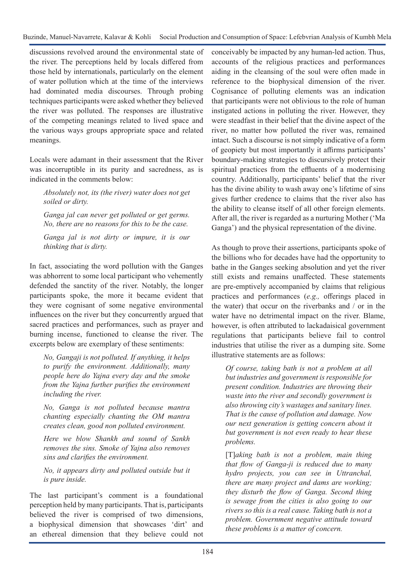discussions revolved around the environmental state of the river. The perceptions held by locals differed from those held by internationals, particularly on the element of water pollution which at the time of the interviews had dominated media discourses. Through probing techniques participants were asked whether they believed the river was polluted. The responses are illustrative of the competing meanings related to lived space and the various ways groups appropriate space and related meanings.

Locals were adamant in their assessment that the River was incorruptible in its purity and sacredness, as is indicated in the comments below:

*Absolutely not, its (the river) water does not get soiled or dirty.* 

*Ganga jal can never get polluted or get germs. No, there are no reasons for this to be the case.* 

*Ganga jal is not dirty or impure, it is our thinking that is dirty.* 

In fact, associating the word pollution with the Ganges was abhorrent to some local participant who vehemently defended the sanctity of the river. Notably, the longer participants spoke, the more it became evident that they were cognisant of some negative environmental influences on the river but they concurrently argued that sacred practices and performances, such as prayer and burning incense, functioned to cleanse the river. The excerpts below are exemplary of these sentiments:

*No, Gangaji is not polluted. If anything, it helps to purify the environment. Additionally, many people here do Yajna every day and the smoke from the Yajna further purifies the environment including the river.* 

*No, Ganga is not polluted because mantra chanting especially chanting the OM mantra creates clean, good non polluted environment.* 

*Here we blow Shankh and sound of Sankh removes the sins. Smoke of Yajna also removes sins and clarifies the environment.*

*No, it appears dirty and polluted outside but it is pure inside.* 

The last participant's comment is a foundational perception held by many participants. That is, participants believed the river is comprised of two dimensions, a biophysical dimension that showcases 'dirt' and an ethereal dimension that they believe could not conceivably be impacted by any human-led action. Thus, accounts of the religious practices and performances aiding in the cleansing of the soul were often made in reference to the biophysical dimension of the river. Cognisance of polluting elements was an indication that participants were not oblivious to the role of human instigated actions in polluting the river. However, they were steadfast in their belief that the divine aspect of the river, no matter how polluted the river was, remained intact. Such a discourse is not simply indicative of a form of geopiety but most importantly it affirms participants' boundary-making strategies to discursively protect their spiritual practices from the effluents of a modernising country. Additionally, participants' belief that the river has the divine ability to wash away one's lifetime of sins gives further credence to claims that the river also has the ability to cleanse itself of all other foreign elements. After all, the river is regarded as a nurturing Mother ('Ma Ganga') and the physical representation of the divine.

As though to prove their assertions, participants spoke of the billions who for decades have had the opportunity to bathe in the Ganges seeking absolution and yet the river still exists and remains unaffected. These statements are pre-emptively accompanied by claims that religious practices and performances (*e.g.,* offerings placed in the water) that occur on the riverbanks and / or in the water have no detrimental impact on the river. Blame, however, is often attributed to lackadaisical government regulations that participants believe fail to control industries that utilise the river as a dumping site. Some illustrative statements are as follows:

*Of course, taking bath is not a problem at all but industries and government is responsible for present condition. Industries are throwing their waste into the river and secondly government is also throwing city's wastages and sanitary lines. That is the cause of pollution and damage. Now our next generation is getting concern about it but government is not even ready to hear these problems.* 

[T]*aking bath is not a problem, main thing that flow of Ganga-ji is reduced due to many hydro projects, you can see in Uttranchal, there are many project and dams are working; they disturb the flow of Ganga. Second thing is sewage from the cities is also going to our rivers so this is a real cause. Taking bath is not a problem. Government negative attitude toward these problems is a matter of concern.*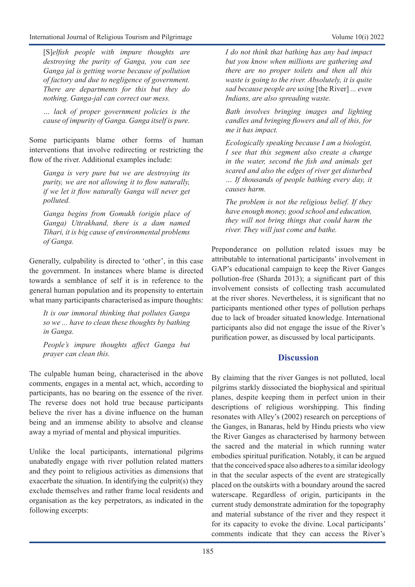[S]*elfish people with impure thoughts are destroying the purity of Ganga, you can see Ganga jal is getting worse because of pollution of factory and due to negligence of government. There are departments for this but they do nothing. Ganga-jal can correct our mess.*

*… lack of proper government policies is the cause of impurity of Ganga. Ganga itself is pure.*

Some participants blame other forms of human interventions that involve redirecting or restricting the flow of the river. Additional examples include:

*Ganga is very pure but we are destroying its purity, we are not allowing it to flow naturally, if we let it flow naturally Ganga will never get polluted.*

*Ganga begins from Gomukh (origin place of Ganga) Uttrakhand, there is a dam named Tihari, it is big cause of environmental problems of Ganga.*

Generally, culpability is directed to 'other', in this case the government. In instances where blame is directed towards a semblance of self it is in reference to the general human population and its propensity to entertain what many participants characterised as impure thoughts:

*It is our immoral thinking that pollutes Ganga so we ... have to clean these thoughts by bathing in Ganga.*

*People's impure thoughts affect Ganga but prayer can clean this.*

The culpable human being, characterised in the above comments, engages in a mental act, which, according to participants, has no bearing on the essence of the river. The reverse does not hold true because participants believe the river has a divine influence on the human being and an immense ability to absolve and cleanse away a myriad of mental and physical impurities.

Unlike the local participants, international pilgrims unabatedly engage with river pollution related matters and they point to religious activities as dimensions that exacerbate the situation. In identifying the culprit(s) they exclude themselves and rather frame local residents and organisation as the key perpetrators, as indicated in the following excerpts:

*I do not think that bathing has any bad impact but you know when millions are gathering and there are no proper toilets and then all this waste is going to the river. Absolutely, it is quite sad because people are using* [the River] *... even Indians, are also spreading waste.*

*Bath involves bringing images and lighting candles and bringing flowers and all of this, for me it has impact.*

*Ecologically speaking because I am a biologist, I see that this segment also create a change in the water, second the fish and animals get scared and also the edges of river get disturbed … If thousands of people bathing every day, it causes harm.*

*The problem is not the religious belief. If they have enough money, good school and education, they will not bring things that could harm the river. They will just come and bathe.*

Preponderance on pollution related issues may be attributable to international participants' involvement in GAP's educational campaign to keep the River Ganges pollution-free (Sharda 2013); a significant part of this involvement consists of collecting trash accumulated at the river shores. Nevertheless, it is significant that no participants mentioned other types of pollution perhaps due to lack of broader situated knowledge. International participants also did not engage the issue of the River's purification power, as discussed by local participants.

## **Discussion**

By claiming that the river Ganges is not polluted, local pilgrims starkly dissociated the biophysical and spiritual planes, despite keeping them in perfect union in their descriptions of religious worshipping. This finding resonates with Alley's (2002) research on perceptions of the Ganges, in Banaras, held by Hindu priests who view the River Ganges as characterised by harmony between the sacred and the material in which running water embodies spiritual purification. Notably, it can be argued that the conceived space also adheres to a similar ideology in that the secular aspects of the event are strategically placed on the outskirts with a boundary around the sacred waterscape. Regardless of origin, participants in the current study demonstrate admiration for the topography and material substance of the river and they respect it for its capacity to evoke the divine. Local participants' comments indicate that they can access the River's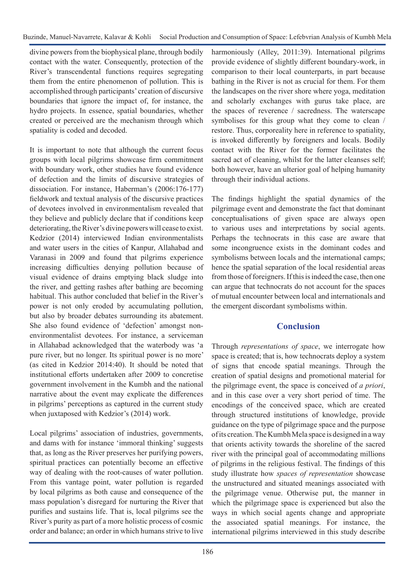divine powers from the biophysical plane, through bodily contact with the water. Consequently, protection of the River's transcendental functions requires segregating them from the entire phenomenon of pollution. This is accomplished through participants' creation of discursive boundaries that ignore the impact of, for instance, the hydro projects. In essence, spatial boundaries, whether created or perceived are the mechanism through which spatiality is coded and decoded.

It is important to note that although the current focus groups with local pilgrims showcase firm commitment with boundary work, other studies have found evidence of defection and the limits of discursive strategies of dissociation. For instance, Haberman's (2006:176-177) fieldwork and textual analysis of the discursive practices of devotees involved in environmentalism revealed that they believe and publicly declare that if conditions keep deteriorating, the River's divine powers will cease to exist. Kedzior (2014) interviewed Indian environmentalists and water users in the cities of Kanpur, Allahabad and Varanasi in 2009 and found that pilgrims experience increasing difficulties denying pollution because of visual evidence of drains emptying black sludge into the river, and getting rashes after bathing are becoming habitual. This author concluded that belief in the River's power is not only eroded by accumulating pollution, but also by broader debates surrounding its abatement. She also found evidence of 'defection' amongst nonenvironmentalist devotees. For instance, a serviceman in Allahabad acknowledged that the waterbody was 'a pure river, but no longer. Its spiritual power is no more' (as cited in Kedzior 2014:40). It should be noted that institutional efforts undertaken after 2009 to concretise government involvement in the Kumbh and the national narrative about the event may explicate the differences in pilgrims' perceptions as captured in the current study when juxtaposed with Kedzior's (2014) work.

Local pilgrims' association of industries, governments, and dams with for instance 'immoral thinking' suggests that, as long as the River preserves her purifying powers, spiritual practices can potentially become an effective way of dealing with the root-causes of water pollution. From this vantage point, water pollution is regarded by local pilgrims as both cause and consequence of the mass population's disregard for nurturing the River that purifies and sustains life. That is, local pilgrims see the River's purity as part of a more holistic process of cosmic order and balance; an order in which humans strive to live

harmoniously (Alley, 2011:39). International pilgrims provide evidence of slightly different boundary-work, in comparison to their local counterparts, in part because bathing in the River is not as crucial for them. For them the landscapes on the river shore where yoga, meditation and scholarly exchanges with gurus take place, are the spaces of reverence / sacredness. The waterscape symbolises for this group what they come to clean / restore. Thus, corporeality here in reference to spatiality, is invoked differently by foreigners and locals. Bodily contact with the River for the former facilitates the sacred act of cleaning, whilst for the latter cleanses self; both however, have an ulterior goal of helping humanity through their individual actions.

The findings highlight the spatial dynamics of the pilgrimage event and demonstrate the fact that dominant conceptualisations of given space are always open to various uses and interpretations by social agents. Perhaps the technocrats in this case are aware that some incongruence exists in the dominant codes and symbolisms between locals and the international camps; hence the spatial separation of the local residential areas from those of foreigners. If this is indeed the case, then one can argue that technocrats do not account for the spaces of mutual encounter between local and internationals and the emergent discordant symbolisms within.

### **Conclusion**

Through *representations of space*, we interrogate how space is created; that is, how technocrats deploy a system of signs that encode spatial meanings. Through the creation of spatial designs and promotional material for the pilgrimage event, the space is conceived of *a priori*, and in this case over a very short period of time. The encodings of the conceived space, which are created through structured institutions of knowledge, provide guidance on the type of pilgrimage space and the purpose of its creation. The Kumbh Mela space is designed in a way that orients activity towards the shoreline of the sacred river with the principal goal of accommodating millions of pilgrims in the religious festival. The findings of this study illustrate how *spaces of representation* showcase the unstructured and situated meanings associated with the pilgrimage venue. Otherwise put, the manner in which the pilgrimage space is experienced but also the ways in which social agents change and appropriate the associated spatial meanings. For instance, the international pilgrims interviewed in this study describe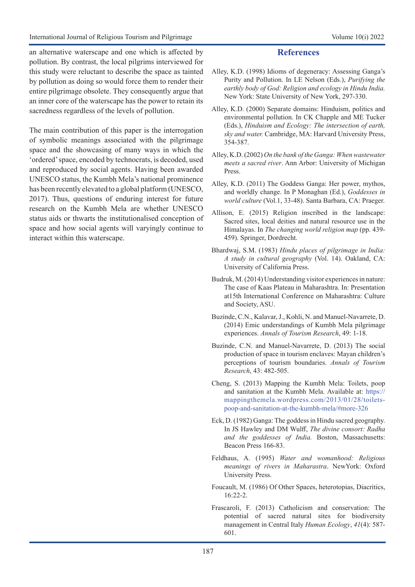an alternative waterscape and one which is affected by pollution. By contrast, the local pilgrims interviewed for this study were reluctant to describe the space as tainted by pollution as doing so would force them to render their entire pilgrimage obsolete. They consequently argue that an inner core of the waterscape has the power to retain its sacredness regardless of the levels of pollution.

The main contribution of this paper is the interrogation of symbolic meanings associated with the pilgrimage space and the showcasing of many ways in which the 'ordered' space, encoded by technocrats, is decoded, used and reproduced by social agents. Having been awarded UNESCO status, the Kumbh Mela's national prominence has been recently elevated to a global platform (UNESCO, 2017). Thus, questions of enduring interest for future research on the Kumbh Mela are whether UNESCO status aids or thwarts the institutionalised conception of space and how social agents will varyingly continue to interact within this waterscape.

#### **References**

- Alley, K.D. (1998) Idioms of degeneracy: Assessing Ganga's Purity and Pollution. In LE Nelson (Eds.), *Purifying the earthly body of God: Religion and ecology in Hindu India.*  New York: State University of New York, 297-330.
- Alley, K.D. (2000) Separate domains: Hinduism, politics and environmental pollution. In CK Chapple and ME Tucker (Eds.), *Hinduism and Ecology: The intersection of earth, sky and water.* Cambridge, MA: Harvard University Press, 354-387.
- Alley, K.D. (2002) *On the bank of the Ganga: When wastewater meets a sacred river*. Ann Arbor: University of Michigan Press.
- Alley, K.D. (2011) The Goddess Ganga: Her power, mythos, and worldly change. In P Monaghan (Ed.), *Goddesses in world culture* (Vol.1, 33-48). Santa Barbara, CA: Praeger.
- Allison, E. (2015) Religion inscribed in the landscape: Sacred sites, local deities and natural resource use in the Himalayas. In *The changing world religion map* (pp. 439- 459). Springer, Dordrecht.
- Bhardwaj, S.M. (1983) *Hindu places of pilgrimage in India: A study in cultural geography* (Vol. 14). Oakland, CA: University of California Press.
- Budruk, M. (2014) Understanding visitor experiences in nature: The case of Kaas Plateau in Maharashtra. In: Presentation at15th International Conference on Maharashtra: Culture and Society, ASU.
- Buzinde, C.N., Kalavar, J., Kohli, N. and Manuel-Navarrete, D. (2014) Emic understandings of Kumbh Mela pilgrimage experiences. *Annals of Tourism Research*, 49: 1-18.
- Buzinde, C.N. and Manuel-Navarrete, D. (2013) The social production of space in tourism enclaves: Mayan children's perceptions of tourism boundaries. *Annals of Tourism Research*, 43: 482-505.
- Cheng, S. (2013) Mapping the Kumbh Mela: Toilets, poop and sanitation at the Kumbh Mela. Available at: [https://](https://mappingthemela.wordpress.com/2013/01/28/toilets-poop-and-sanitation-at-the-kumbh-mela/#more-326) [mappingthemela.wordpress.com/2013/01/28/toilets](https://mappingthemela.wordpress.com/2013/01/28/toilets-poop-and-sanitation-at-the-kumbh-mela/#more-326)[poop-and-sanitation-at-the-kumbh-mela/#more-326](https://mappingthemela.wordpress.com/2013/01/28/toilets-poop-and-sanitation-at-the-kumbh-mela/#more-326)
- Eck, D. (1982) Ganga: The goddess in Hindu sacred geography. In JS Hawley and DM Wulff, *The divine consort: Radha and the goddesses of India.* Boston, Massachusetts: Beacon Press 166-83.
- Feldhaus, A. (1995) *Water and womanhood: Religious meanings of rivers in Maharastra*. NewYork: Oxford University Press.
- Foucault, M. (1986) Of Other Spaces, heterotopias, Diacritics, 16:22-2.
- Frascaroli, F. (2013) Catholicism and conservation: The potential of sacred natural sites for biodiversity management in Central Italy *Human Ecology*, *41*(4): 587- 601.